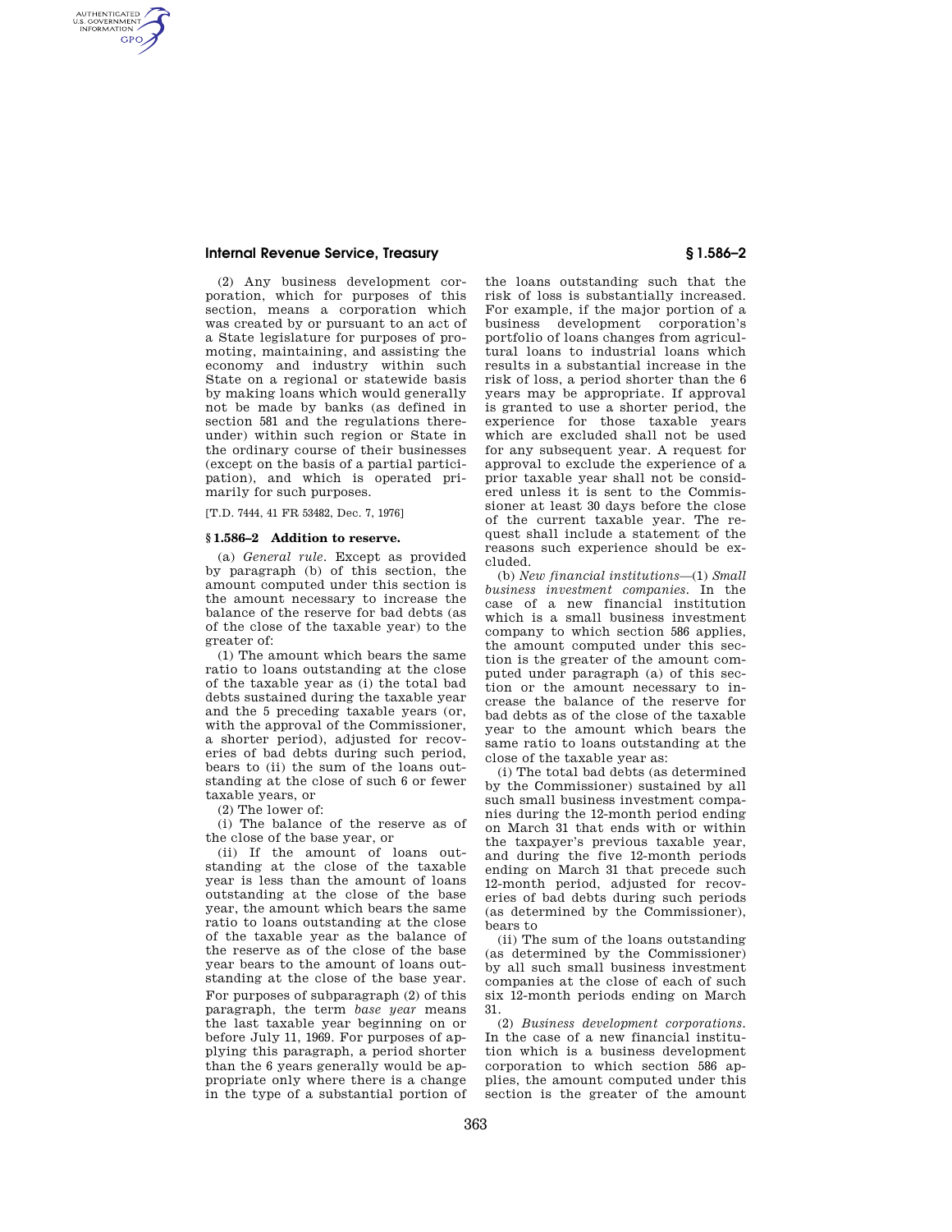## **Internal Revenue Service, Treasury § 1.586–2**

AUTHENTICATED<br>U.S. GOVERNMENT<br>INFORMATION **GPO** 

> (2) Any business development corporation, which for purposes of this section, means a corporation which was created by or pursuant to an act of a State legislature for purposes of promoting, maintaining, and assisting the economy and industry within such State on a regional or statewide basis by making loans which would generally not be made by banks (as defined in section 581 and the regulations thereunder) within such region or State in the ordinary course of their businesses (except on the basis of a partial participation), and which is operated primarily for such purposes.

[T.D. 7444, 41 FR 53482, Dec. 7, 1976]

## **§ 1.586–2 Addition to reserve.**

(a) *General rule.* Except as provided by paragraph (b) of this section, the amount computed under this section is the amount necessary to increase the balance of the reserve for bad debts (as of the close of the taxable year) to the greater of:

(1) The amount which bears the same ratio to loans outstanding at the close of the taxable year as (i) the total bad debts sustained during the taxable year and the 5 preceding taxable years (or, with the approval of the Commissioner, a shorter period), adjusted for recoveries of bad debts during such period, bears to (ii) the sum of the loans outstanding at the close of such 6 or fewer taxable years, or

(2) The lower of:

(i) The balance of the reserve as of the close of the base year, or

(ii) If the amount of loans outstanding at the close of the taxable year is less than the amount of loans outstanding at the close of the base year, the amount which bears the same ratio to loans outstanding at the close of the taxable year as the balance of the reserve as of the close of the base year bears to the amount of loans outstanding at the close of the base year. For purposes of subparagraph (2) of this paragraph, the term *base year* means the last taxable year beginning on or before July 11, 1969. For purposes of applying this paragraph, a period shorter than the 6 years generally would be appropriate only where there is a change in the type of a substantial portion of

the loans outstanding such that the risk of loss is substantially increased. For example, if the major portion of a business development corporation's portfolio of loans changes from agricultural loans to industrial loans which results in a substantial increase in the risk of loss, a period shorter than the 6 years may be appropriate. If approval is granted to use a shorter period, the experience for those taxable years which are excluded shall not be used for any subsequent year. A request for approval to exclude the experience of a prior taxable year shall not be considered unless it is sent to the Commissioner at least 30 days before the close of the current taxable year. The request shall include a statement of the reasons such experience should be excluded.

(b) *New financial institutions*—(1) *Small business investment companies.* In the case of a new financial institution which is a small business investment company to which section 586 applies, the amount computed under this section is the greater of the amount computed under paragraph (a) of this section or the amount necessary to increase the balance of the reserve for bad debts as of the close of the taxable year to the amount which bears the same ratio to loans outstanding at the close of the taxable year as:

(i) The total bad debts (as determined by the Commissioner) sustained by all such small business investment companies during the 12-month period ending on March 31 that ends with or within the taxpayer's previous taxable year, and during the five 12-month periods ending on March 31 that precede such 12-month period, adjusted for recoveries of bad debts during such periods (as determined by the Commissioner), bears to

(ii) The sum of the loans outstanding (as determined by the Commissioner) by all such small business investment companies at the close of each of such six 12-month periods ending on March 31.

(2) *Business development corporations.*  In the case of a new financial institution which is a business development corporation to which section 586 applies, the amount computed under this section is the greater of the amount